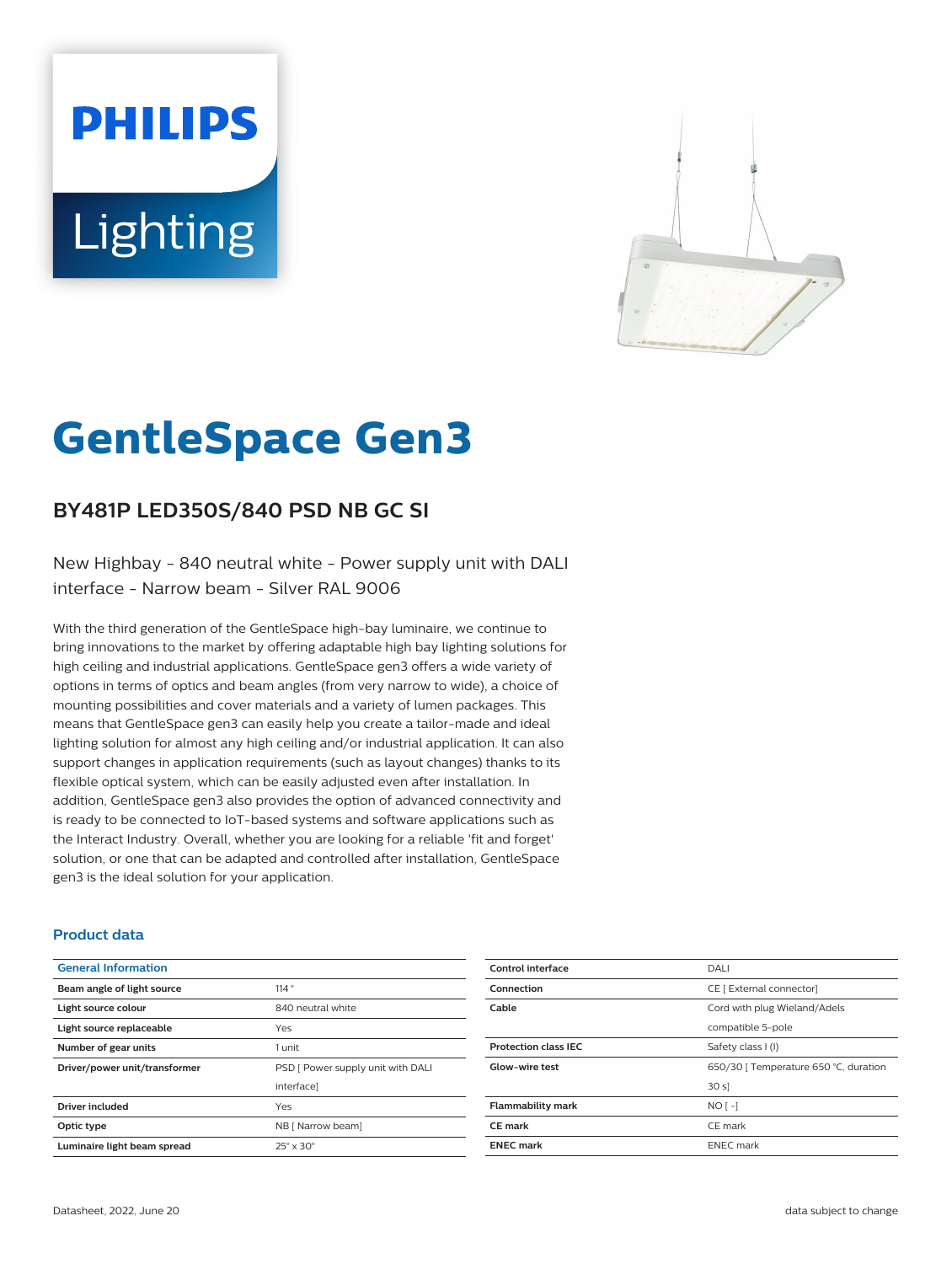# **PHILIPS Lighting**



# **GentleSpace Gen3**

# **BY481P LED350S/840 PSD NB GC SI**

New Highbay - 840 neutral white - Power supply unit with DALI interface - Narrow beam - Silver RAL 9006

With the third generation of the GentleSpace high-bay luminaire, we continue to bring innovations to the market by offering adaptable high bay lighting solutions for high ceiling and industrial applications. GentleSpace gen3 offers a wide variety of options in terms of optics and beam angles (from very narrow to wide), a choice of mounting possibilities and cover materials and a variety of lumen packages. This means that GentleSpace gen3 can easily help you create a tailor-made and ideal lighting solution for almost any high ceiling and/or industrial application. It can also support changes in application requirements (such as layout changes) thanks to its flexible optical system, which can be easily adjusted even after installation. In addition, GentleSpace gen3 also provides the option of advanced connectivity and is ready to be connected to IoT-based systems and software applications such as the Interact Industry. Overall, whether you are looking for a reliable 'fit and forget' solution, or one that can be adapted and controlled after installation, GentleSpace gen3 is the ideal solution for your application.

#### **Product data**

| <b>General Information</b>    |                                   |
|-------------------------------|-----------------------------------|
| Beam angle of light source    | 114°                              |
| Light source colour           | 840 neutral white                 |
| Light source replaceable      | Yes                               |
| Number of gear units          | 1 unit                            |
| Driver/power unit/transformer | PSD [ Power supply unit with DALI |
|                               | interfacel                        |
| <b>Driver included</b>        | Yes                               |
| Optic type                    | NB [ Narrow beam]                 |
| Luminaire light beam spread   | $25^\circ \times 30^\circ$        |

| Control interface           | DALI                                  |
|-----------------------------|---------------------------------------|
| Connection                  | CE [ External connector]              |
| Cable                       | Cord with plug Wieland/Adels          |
|                             | compatible 5-pole                     |
| <b>Protection class IEC</b> | Safety class I (I)                    |
| <b>Glow-wire test</b>       | 650/30   Temperature 650 °C, duration |
|                             | 30 s                                  |
| <b>Flammability mark</b>    | $NO[-]$                               |
| CE mark                     | CE mark                               |
| <b>ENEC mark</b>            | <b>ENEC</b> mark                      |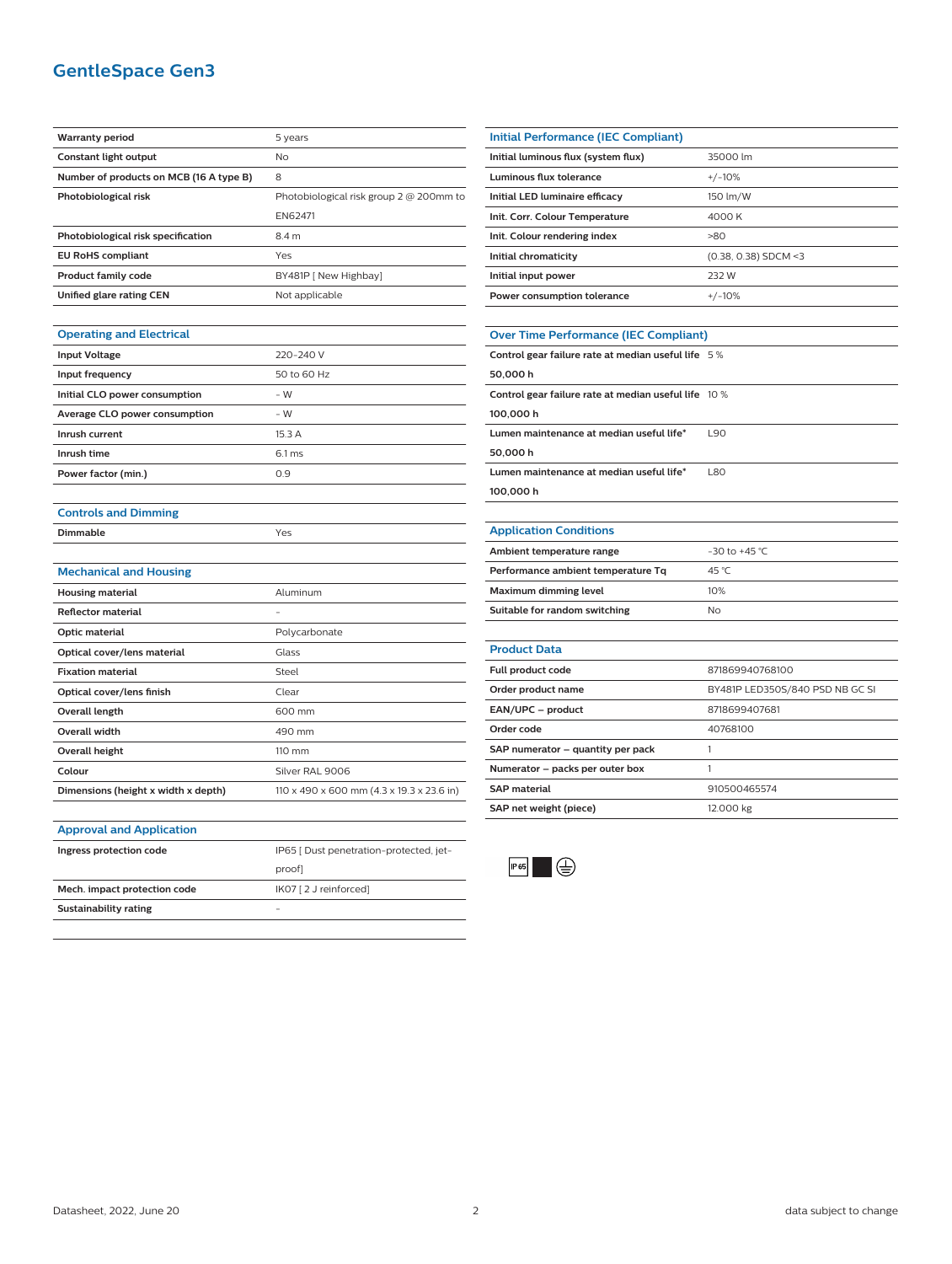# **GentleSpace Gen3**

| <b>Warranty period</b>                  | 5 years                                 |
|-----------------------------------------|-----------------------------------------|
| Constant light output                   | No.                                     |
| Number of products on MCB (16 A type B) | 8                                       |
| Photobiological risk                    | Photobiological risk group 2 @ 200mm to |
|                                         | <b>EN62471</b>                          |
| Photobiological risk specification      | 8.4 m                                   |
| <b>EU RoHS compliant</b>                | Yes                                     |
| <b>Product family code</b>              | BY481P [ New Highbay]                   |
| Unified glare rating CEN                | Not applicable                          |
|                                         |                                         |

|  | <b>Operating and Electrical</b> |
|--|---------------------------------|
|  |                                 |

| <b>Input Voltage</b>          | 220-240 V        |
|-------------------------------|------------------|
| Input frequency               | 50 to 60 Hz      |
| Initial CLO power consumption | - W              |
| Average CLO power consumption | - W              |
| Inrush current                | 15.3A            |
| Inrush time                   | $6.1 \text{ ms}$ |
| Power factor (min.)           | 0.9              |
|                               |                  |

| <b>Controls and Dimming</b> |  |  |
|-----------------------------|--|--|
|                             |  |  |

| Dimmable | Yes |
|----------|-----|
|          |     |

| <b>Mechanical and Housing</b> |
|-------------------------------|
|-------------------------------|

| Mechanical and Housing              |                                           |
|-------------------------------------|-------------------------------------------|
| <b>Housing material</b>             | Aluminum                                  |
| <b>Reflector material</b>           |                                           |
| Optic material                      | Polycarbonate                             |
| Optical cover/lens material         | Glass                                     |
| <b>Fixation material</b>            | Steel                                     |
| Optical cover/lens finish           | Clear                                     |
| Overall length                      | 600 mm                                    |
| <b>Overall width</b>                | 490 mm                                    |
| Overall height                      | 110 mm                                    |
| Colour                              | Silver RAL 9006                           |
| Dimensions (height x width x depth) | 110 x 490 x 600 mm (4.3 x 19.3 x 23.6 in) |

| Ingress protection code      | IP65   Dust penetration-protected, jet- |
|------------------------------|-----------------------------------------|
|                              | proof                                   |
| Mech. impact protection code | IK07 [ 2 J reinforced]                  |
| Sustainability rating        |                                         |
|                              |                                         |

| Initial Performance (IEC Compliant) |                        |
|-------------------------------------|------------------------|
| Initial luminous flux (system flux) | 35000 lm               |
| Luminous flux tolerance             | $+/-10%$               |
| Initial LED luminaire efficacy      | 150 lm/W               |
| Init. Corr. Colour Temperature      | 4000 K                 |
| Init. Colour rendering index        | >80                    |
| Initial chromaticity                | $(0.38, 0.38)$ SDCM <3 |
| Initial input power                 | 232 W                  |
| Power consumption tolerance         | $+/-10%$               |
|                                     |                        |

# **Over Time Performance (IEC Compliant)**

| Control gear failure rate at median useful life 5%   |            |
|------------------------------------------------------|------------|
| 50,000 h                                             |            |
| Control gear failure rate at median useful life 10 % |            |
| 100,000 h                                            |            |
| Lumen maintenance at median useful life*             | <b>L90</b> |
| 50,000 h                                             |            |
| Lumen maintenance at median useful life*             | <b>L80</b> |
| 100,000 h                                            |            |
|                                                      |            |

#### **Application Conditions**

| Ambient temperature range          | $-30$ to $+45$ °C |
|------------------------------------|-------------------|
| Performance ambient temperature Tq | 45 °C             |
| Maximum dimming level              | 10%               |
| Suitable for random switching      | Nο                |
|                                    |                   |

| <b>Product Data</b>               |                                 |
|-----------------------------------|---------------------------------|
| Full product code                 | 871869940768100                 |
| Order product name                | BY481P LED350S/840 PSD NB GC SI |
| EAN/UPC - product                 | 8718699407681                   |
| Order code                        | 40768100                        |
| SAP numerator - quantity per pack |                                 |
| Numerator - packs per outer box   |                                 |
| <b>SAP</b> material               | 910500465574                    |
| SAP net weight (piece)            | 12.000 kg                       |
|                                   |                                 |